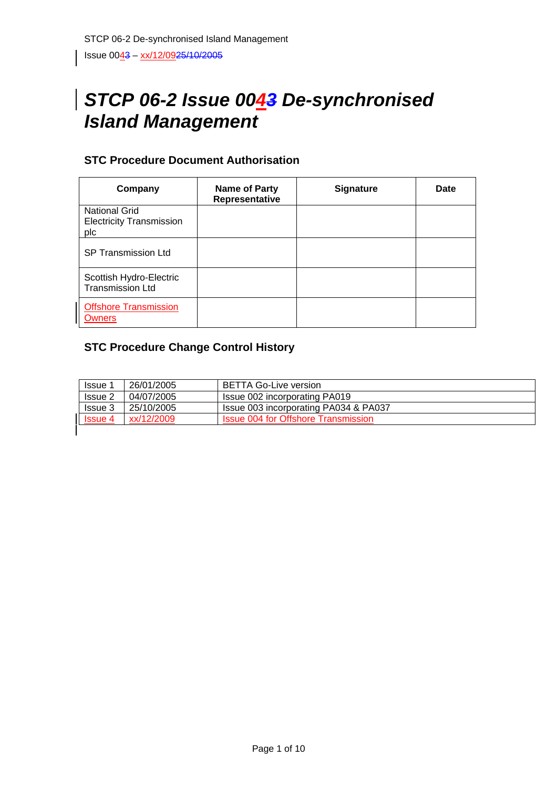# Issue 0043 - xx/12/0925/10/2005

# *STCP 06-2 Issue 0043 De-synchronised Island Management*

# **STC Procedure Document Authorisation**

| Company                                                        | <b>Name of Party</b><br>Representative | <b>Signature</b> | Date |
|----------------------------------------------------------------|----------------------------------------|------------------|------|
| <b>National Grid</b><br><b>Electricity Transmission</b><br>plc |                                        |                  |      |
| <b>SP Transmission Ltd</b>                                     |                                        |                  |      |
| Scottish Hydro-Electric<br><b>Transmission Ltd</b>             |                                        |                  |      |
| <b>Offshore Transmission</b><br><b>Owners</b>                  |                                        |                  |      |

# **STC Procedure Change Control History**

| <b>Issue 1</b> | 26/01/2005 | <b>BETTA Go-Live version</b>               |
|----------------|------------|--------------------------------------------|
| Issue 2        | 04/07/2005 | Issue 002 incorporating PA019              |
| <b>Issue 3</b> | 25/10/2005 | Issue 003 incorporating PA034 & PA037      |
| <b>Issue 4</b> | xx/12/2009 | <b>Issue 004 for Offshore Transmission</b> |
|                |            |                                            |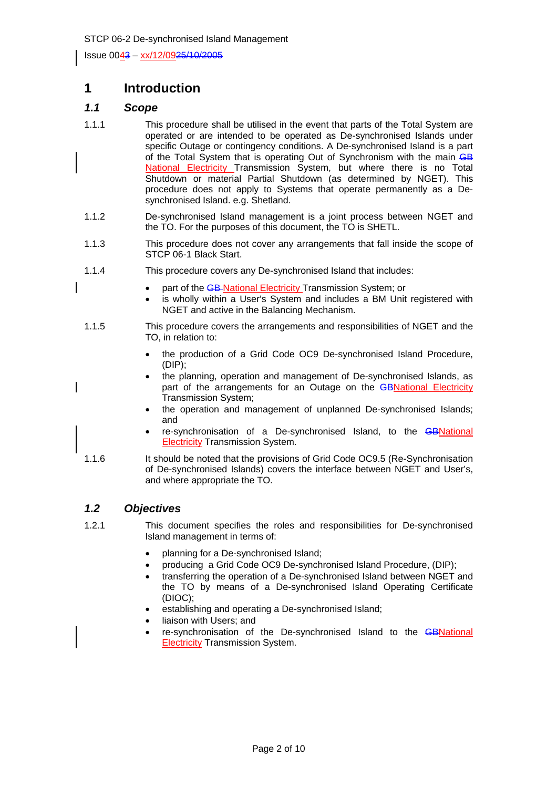Issue 0043 – xx/12/0925/10/2005

# **1 Introduction**

## *1.1 Scope*

- 1.1.1 This procedure shall be utilised in the event that parts of the Total System are operated or are intended to be operated as De-synchronised Islands under specific Outage or contingency conditions. A De-synchronised Island is a part of the Total System that is operating Out of Synchronism with the main GB National Electricity Transmission System, but where there is no Total Shutdown or material Partial Shutdown (as determined by NGET). This procedure does not apply to Systems that operate permanently as a Desynchronised Island. e.g. Shetland.
- 1.1.2 De-synchronised Island management is a joint process between NGET and the TO. For the purposes of this document, the TO is SHETL.
- 1.1.3 This procedure does not cover any arrangements that fall inside the scope of STCP 06-1 Black Start.
- 1.1.4 This procedure covers any De-synchronised Island that includes:
	- part of the GB-National Electricity Transmission System; or
	- is wholly within a User's System and includes a BM Unit registered with NGET and active in the Balancing Mechanism.
- 1.1.5 This procedure covers the arrangements and responsibilities of NGET and the TO, in relation to:
	- the production of a Grid Code OC9 De-synchronised Island Procedure, (DIP);
	- the planning, operation and management of De-synchronised Islands, as part of the arrangements for an Outage on the **GBNational Electricity** Transmission System;
	- the operation and management of unplanned De-synchronised Islands; and
	- re-synchronisation of a De-synchronised Island, to the GBNational **Electricity Transmission System.**
- 1.1.6 It should be noted that the provisions of Grid Code OC9.5 (Re-Synchronisation of De-synchronised Islands) covers the interface between NGET and User's, and where appropriate the TO.

#### *1.2 Objectives*

- 1.2.1 This document specifies the roles and responsibilities for De-synchronised Island management in terms of:
	- planning for a De-synchronised Island;
	- producing a Grid Code OC9 De-synchronised Island Procedure, (DIP);
	- transferring the operation of a De-synchronised Island between NGET and the TO by means of a De-synchronised Island Operating Certificate (DIOC);
	- establishing and operating a De-synchronised Island;
	- liaison with Users; and
	- re-synchronisation of the De-synchronised Island to the **GBNational** Electricity Transmission System.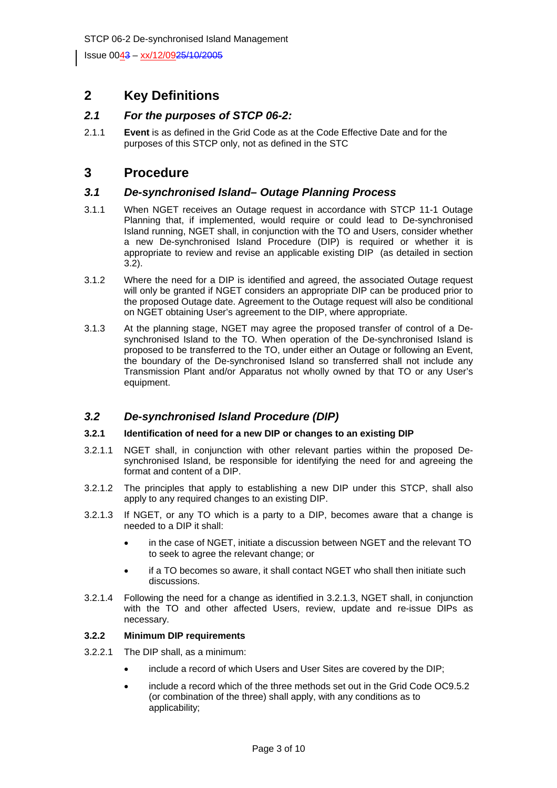Issue 0043 - xx/12/0925/10/2005

# **2 Key Definitions**

## *2.1 For the purposes of STCP 06-2:*

2.1.1 **Event** is as defined in the Grid Code as at the Code Effective Date and for the purposes of this STCP only, not as defined in the STC

# **3 Procedure**

#### *3.1 De-synchronised Island– Outage Planning Process*

- 3.1.1 When NGET receives an Outage request in accordance with STCP 11-1 Outage Planning that, if implemented, would require or could lead to De-synchronised Island running, NGET shall, in conjunction with the TO and Users, consider whether a new De-synchronised Island Procedure (DIP) is required or whether it is appropriate to review and revise an applicable existing DIP (as detailed in section  $3.2$ ).
- 3.1.2 Where the need for a DIP is identified and agreed, the associated Outage request will only be granted if NGET considers an appropriate DIP can be produced prior to the proposed Outage date. Agreement to the Outage request will also be conditional on NGET obtaining User's agreement to the DIP, where appropriate.
- 3.1.3 At the planning stage, NGET may agree the proposed transfer of control of a Desynchronised Island to the TO. When operation of the De-synchronised Island is proposed to be transferred to the TO, under either an Outage or following an Event, the boundary of the De-synchronised Island so transferred shall not include any Transmission Plant and/or Apparatus not wholly owned by that TO or any User's equipment.

# *3.2 De-synchronised Island Procedure (DIP)*

#### **3.2.1 Identification of need for a new DIP or changes to an existing DIP**

- 3.2.1.1 NGET shall, in conjunction with other relevant parties within the proposed Desynchronised Island, be responsible for identifying the need for and agreeing the format and content of a DIP.
- 3.2.1.2 The principles that apply to establishing a new DIP under this STCP, shall also apply to any required changes to an existing DIP.
- 3.2.1.3 If NGET, or any TO which is a party to a DIP, becomes aware that a change is needed to a DIP it shall:
	- in the case of NGET, initiate a discussion between NGET and the relevant TO to seek to agree the relevant change; or
	- if a TO becomes so aware, it shall contact NGET who shall then initiate such discussions.
- 3.2.1.4 Following the need for a change as identified in 3.2.1.3, NGET shall, in conjunction with the TO and other affected Users, review, update and re-issue DIPs as necessary.

#### **3.2.2 Minimum DIP requirements**

- 3.2.2.1 The DIP shall, as a minimum:
	- include a record of which Users and User Sites are covered by the DIP;
	- include a record which of the three methods set out in the Grid Code OC9.5.2 (or combination of the three) shall apply, with any conditions as to applicability;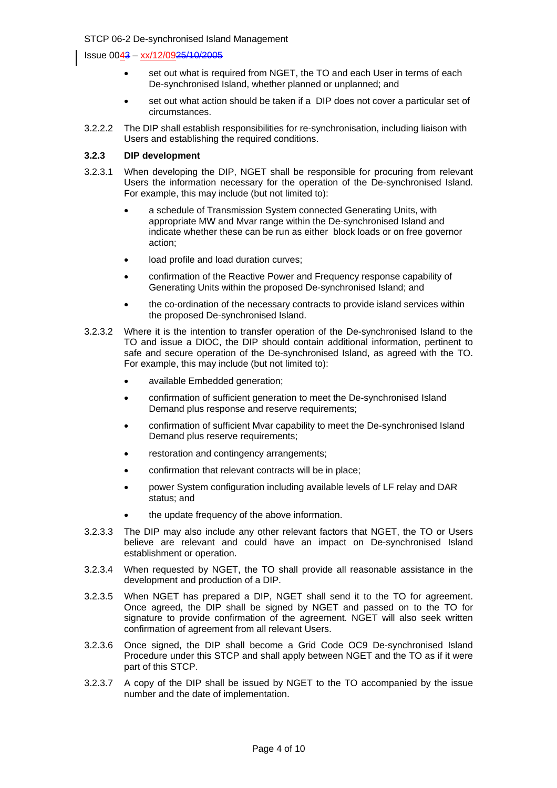Issue 0043 – xx/12/0925/10/2005

- set out what is required from NGET, the TO and each User in terms of each De-synchronised Island, whether planned or unplanned; and
- set out what action should be taken if a DIP does not cover a particular set of circumstances.
- 3.2.2.2 The DIP shall establish responsibilities for re-synchronisation, including liaison with Users and establishing the required conditions.

#### **3.2.3 DIP development**

- 3.2.3.1 When developing the DIP, NGET shall be responsible for procuring from relevant Users the information necessary for the operation of the De-synchronised Island. For example, this may include (but not limited to):
	- a schedule of Transmission System connected Generating Units, with appropriate MW and Mvar range within the De-synchronised Island and indicate whether these can be run as either block loads or on free governor action;
	- load profile and load duration curves;
	- confirmation of the Reactive Power and Frequency response capability of Generating Units within the proposed De-synchronised Island; and
	- the co-ordination of the necessary contracts to provide island services within the proposed De-synchronised Island.
- 3.2.3.2 Where it is the intention to transfer operation of the De-synchronised Island to the TO and issue a DIOC, the DIP should contain additional information, pertinent to safe and secure operation of the De-synchronised Island, as agreed with the TO. For example, this may include (but not limited to):
	- available Embedded generation:
	- confirmation of sufficient generation to meet the De-synchronised Island Demand plus response and reserve requirements;
	- confirmation of sufficient Mvar capability to meet the De-synchronised Island Demand plus reserve requirements;
	- restoration and contingency arrangements;
	- confirmation that relevant contracts will be in place;
	- power System configuration including available levels of LF relay and DAR status; and
	- the update frequency of the above information.
- 3.2.3.3 The DIP may also include any other relevant factors that NGET, the TO or Users believe are relevant and could have an impact on De-synchronised Island establishment or operation.
- 3.2.3.4 When requested by NGET, the TO shall provide all reasonable assistance in the development and production of a DIP.
- 3.2.3.5 When NGET has prepared a DIP, NGET shall send it to the TO for agreement. Once agreed, the DIP shall be signed by NGET and passed on to the TO for signature to provide confirmation of the agreement. NGET will also seek written confirmation of agreement from all relevant Users.
- 3.2.3.6 Once signed, the DIP shall become a Grid Code OC9 De-synchronised Island Procedure under this STCP and shall apply between NGET and the TO as if it were part of this STCP.
- 3.2.3.7 A copy of the DIP shall be issued by NGET to the TO accompanied by the issue number and the date of implementation.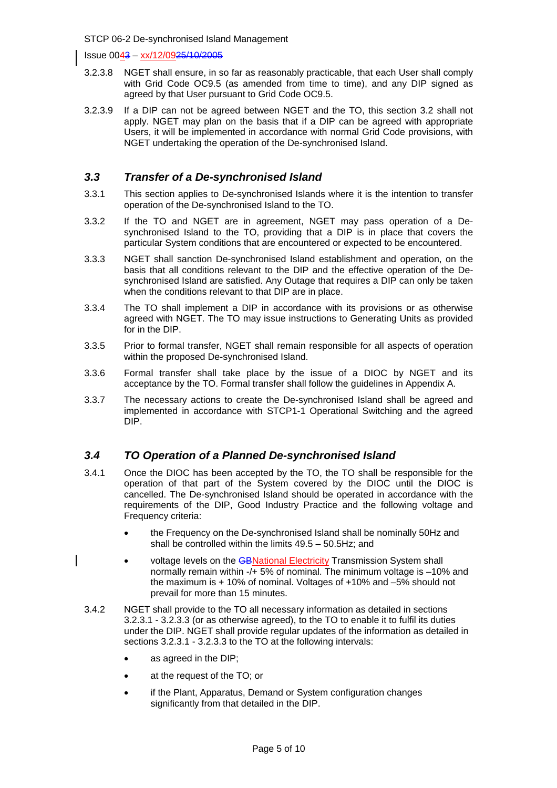Issue 0043 – xx/12/0925/10/2005

- 3.2.3.8 NGET shall ensure, in so far as reasonably practicable, that each User shall comply with Grid Code OC9.5 (as amended from time to time), and any DIP signed as agreed by that User pursuant to Grid Code OC9.5.
- 3.2.3.9 If a DIP can not be agreed between NGET and the TO, this section 3.2 shall not apply. NGET may plan on the basis that if a DIP can be agreed with appropriate Users, it will be implemented in accordance with normal Grid Code provisions, with NGET undertaking the operation of the De-synchronised Island.

## *3.3 Transfer of a De-synchronised Island*

- 3.3.1 This section applies to De-synchronised Islands where it is the intention to transfer operation of the De-synchronised Island to the TO.
- 3.3.2 If the TO and NGET are in agreement, NGET may pass operation of a Desynchronised Island to the TO, providing that a DIP is in place that covers the particular System conditions that are encountered or expected to be encountered.
- 3.3.3 NGET shall sanction De-synchronised Island establishment and operation, on the basis that all conditions relevant to the DIP and the effective operation of the Desynchronised Island are satisfied. Any Outage that requires a DIP can only be taken when the conditions relevant to that DIP are in place.
- 3.3.4 The TO shall implement a DIP in accordance with its provisions or as otherwise agreed with NGET. The TO may issue instructions to Generating Units as provided for in the DIP.
- 3.3.5 Prior to formal transfer, NGET shall remain responsible for all aspects of operation within the proposed De-synchronised Island.
- 3.3.6 Formal transfer shall take place by the issue of a DIOC by NGET and its acceptance by the TO. Formal transfer shall follow the guidelines in Appendix A.
- 3.3.7 The necessary actions to create the De-synchronised Island shall be agreed and implemented in accordance with STCP1-1 Operational Switching and the agreed DIP.

# *3.4 TO Operation of a Planned De-synchronised Island*

- 3.4.1 Once the DIOC has been accepted by the TO, the TO shall be responsible for the operation of that part of the System covered by the DIOC until the DIOC is cancelled. The De-synchronised Island should be operated in accordance with the requirements of the DIP, Good Industry Practice and the following voltage and Frequency criteria:
	- the Frequency on the De-synchronised Island shall be nominally 50Hz and shall be controlled within the limits 49.5 – 50.5Hz; and
	- voltage levels on the GBNational Electricity Transmission System shall normally remain within -/+ 5% of nominal. The minimum voltage is –10% and the maximum is + 10% of nominal. Voltages of +10% and –5% should not prevail for more than 15 minutes.
- 3.4.2 NGET shall provide to the TO all necessary information as detailed in sections 3.2.3.1 - 3.2.3.3 (or as otherwise agreed), to the TO to enable it to fulfil its duties under the DIP. NGET shall provide regular updates of the information as detailed in sections 3.2.3.1 - 3.2.3.3 to the TO at the following intervals:
	- as agreed in the DIP;
	- at the request of the TO; or
	- if the Plant, Apparatus, Demand or System configuration changes significantly from that detailed in the DIP.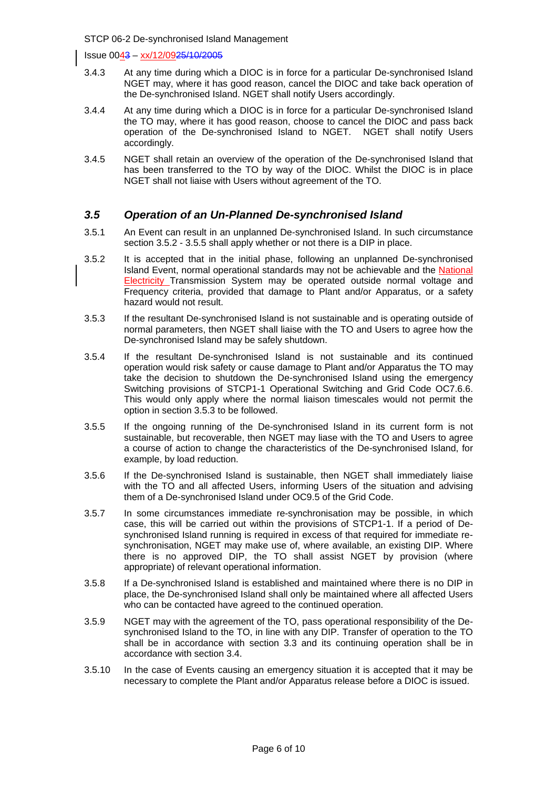Issue 0043 – xx/12/0925/10/2005

- 3.4.3 At any time during which a DIOC is in force for a particular De-synchronised Island NGET may, where it has good reason, cancel the DIOC and take back operation of the De-synchronised Island. NGET shall notify Users accordingly.
- 3.4.4 At any time during which a DIOC is in force for a particular De-synchronised Island the TO may, where it has good reason, choose to cancel the DIOC and pass back operation of the De-synchronised Island to NGET. NGET shall notify Users accordingly.
- 3.4.5 NGET shall retain an overview of the operation of the De-synchronised Island that has been transferred to the TO by way of the DIOC. Whilst the DIOC is in place NGET shall not liaise with Users without agreement of the TO.

## *3.5 Operation of an Un-Planned De-synchronised Island*

- 3.5.1 An Event can result in an unplanned De-synchronised Island. In such circumstance section 3.5.2 - 3.5.5 shall apply whether or not there is a DIP in place.
- 3.5.2 It is accepted that in the initial phase, following an unplanned De-synchronised Island Event, normal operational standards may not be achievable and the National Electricity Transmission System may be operated outside normal voltage and Frequency criteria, provided that damage to Plant and/or Apparatus, or a safety hazard would not result.
- 3.5.3 If the resultant De-synchronised Island is not sustainable and is operating outside of normal parameters, then NGET shall liaise with the TO and Users to agree how the De-synchronised Island may be safely shutdown.
- 3.5.4 If the resultant De-synchronised Island is not sustainable and its continued operation would risk safety or cause damage to Plant and/or Apparatus the TO may take the decision to shutdown the De-synchronised Island using the emergency Switching provisions of STCP1-1 Operational Switching and Grid Code OC7.6.6. This would only apply where the normal liaison timescales would not permit the option in section 3.5.3 to be followed.
- 3.5.5 If the ongoing running of the De-synchronised Island in its current form is not sustainable, but recoverable, then NGET may liase with the TO and Users to agree a course of action to change the characteristics of the De-synchronised Island, for example, by load reduction.
- 3.5.6 If the De-synchronised Island is sustainable, then NGET shall immediately liaise with the TO and all affected Users, informing Users of the situation and advising them of a De-synchronised Island under OC9.5 of the Grid Code.
- 3.5.7 In some circumstances immediate re-synchronisation may be possible, in which case, this will be carried out within the provisions of STCP1-1. If a period of Desynchronised Island running is required in excess of that required for immediate resynchronisation, NGET may make use of, where available, an existing DIP. Where there is no approved DIP, the TO shall assist NGET by provision (where appropriate) of relevant operational information.
- 3.5.8 If a De-synchronised Island is established and maintained where there is no DIP in place, the De-synchronised Island shall only be maintained where all affected Users who can be contacted have agreed to the continued operation.
- 3.5.9 NGET may with the agreement of the TO, pass operational responsibility of the Desynchronised Island to the TO, in line with any DIP. Transfer of operation to the TO shall be in accordance with section 3.3 and its continuing operation shall be in accordance with section 3.4.
- 3.5.10 In the case of Events causing an emergency situation it is accepted that it may be necessary to complete the Plant and/or Apparatus release before a DIOC is issued.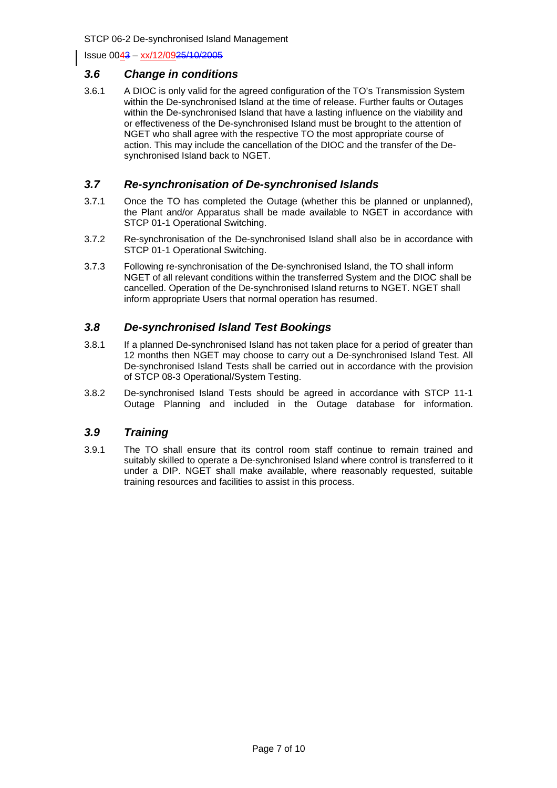Issue 0043 – xx/12/0925/10/2005

#### *3.6 Change in conditions*

3.6.1 A DIOC is only valid for the agreed configuration of the TO's Transmission System within the De-synchronised Island at the time of release. Further faults or Outages within the De-synchronised Island that have a lasting influence on the viability and or effectiveness of the De-synchronised Island must be brought to the attention of NGET who shall agree with the respective TO the most appropriate course of action. This may include the cancellation of the DIOC and the transfer of the Desynchronised Island back to NGET.

## *3.7 Re-synchronisation of De-synchronised Islands*

- 3.7.1 Once the TO has completed the Outage (whether this be planned or unplanned), the Plant and/or Apparatus shall be made available to NGET in accordance with STCP 01-1 Operational Switching.
- 3.7.2 Re-synchronisation of the De-synchronised Island shall also be in accordance with STCP 01-1 Operational Switching.
- 3.7.3 Following re-synchronisation of the De-synchronised Island, the TO shall inform NGET of all relevant conditions within the transferred System and the DIOC shall be cancelled. Operation of the De-synchronised Island returns to NGET. NGET shall inform appropriate Users that normal operation has resumed.

# *3.8 De-synchronised Island Test Bookings*

- 3.8.1 If a planned De-synchronised Island has not taken place for a period of greater than 12 months then NGET may choose to carry out a De-synchronised Island Test. All De-synchronised Island Tests shall be carried out in accordance with the provision of STCP 08-3 Operational/System Testing.
- 3.8.2 De-synchronised Island Tests should be agreed in accordance with STCP 11-1 Outage Planning and included in the Outage database for information.

#### *3.9 Training*

3.9.1 The TO shall ensure that its control room staff continue to remain trained and suitably skilled to operate a De-synchronised Island where control is transferred to it under a DIP. NGET shall make available, where reasonably requested, suitable training resources and facilities to assist in this process.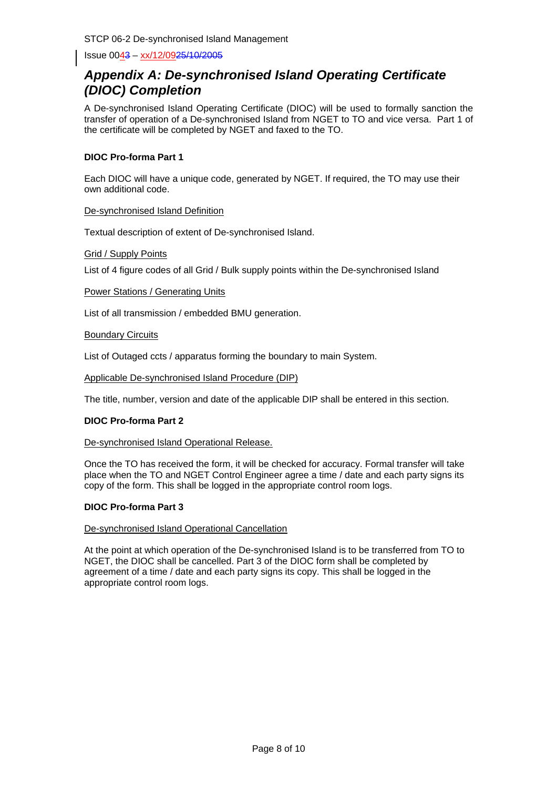Issue 0043 - xx/12/0925/10/2005

# *Appendix A: De-synchronised Island Operating Certificate (DIOC) Completion*

A De-synchronised Island Operating Certificate (DIOC) will be used to formally sanction the transfer of operation of a De-synchronised Island from NGET to TO and vice versa. Part 1 of the certificate will be completed by NGET and faxed to the TO.

#### **DIOC Pro-forma Part 1**

Each DIOC will have a unique code, generated by NGET. If required, the TO may use their own additional code.

#### De-synchronised Island Definition

Textual description of extent of De-synchronised Island.

#### Grid / Supply Points

List of 4 figure codes of all Grid / Bulk supply points within the De-synchronised Island

#### Power Stations / Generating Units

List of all transmission / embedded BMU generation.

#### Boundary Circuits

List of Outaged ccts / apparatus forming the boundary to main System.

Applicable De-synchronised Island Procedure (DIP)

The title, number, version and date of the applicable DIP shall be entered in this section.

#### **DIOC Pro-forma Part 2**

De-synchronised Island Operational Release.

Once the TO has received the form, it will be checked for accuracy. Formal transfer will take place when the TO and NGET Control Engineer agree a time / date and each party signs its copy of the form. This shall be logged in the appropriate control room logs.

#### **DIOC Pro-forma Part 3**

#### De-synchronised Island Operational Cancellation

At the point at which operation of the De-synchronised Island is to be transferred from TO to NGET, the DIOC shall be cancelled. Part 3 of the DIOC form shall be completed by agreement of a time / date and each party signs its copy. This shall be logged in the appropriate control room logs.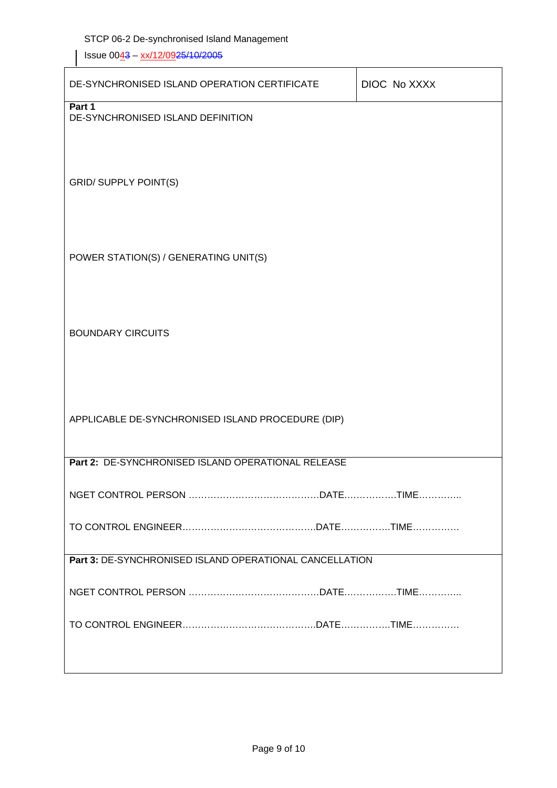Issue 0043 - xx/12/0925/10/2005

| DE-SYNCHRONISED ISLAND OPERATION CERTIFICATE            | DIOC No XXXX |  |  |  |
|---------------------------------------------------------|--------------|--|--|--|
| Part 1<br>DE-SYNCHRONISED ISLAND DEFINITION             |              |  |  |  |
|                                                         |              |  |  |  |
|                                                         |              |  |  |  |
| <b>GRID/ SUPPLY POINT(S)</b>                            |              |  |  |  |
|                                                         |              |  |  |  |
|                                                         |              |  |  |  |
| POWER STATION(S) / GENERATING UNIT(S)                   |              |  |  |  |
|                                                         |              |  |  |  |
| <b>BOUNDARY CIRCUITS</b>                                |              |  |  |  |
|                                                         |              |  |  |  |
|                                                         |              |  |  |  |
|                                                         |              |  |  |  |
| APPLICABLE DE-SYNCHRONISED ISLAND PROCEDURE (DIP)       |              |  |  |  |
| Part 2: DE-SYNCHRONISED ISLAND OPERATIONAL RELEASE      |              |  |  |  |
|                                                         |              |  |  |  |
|                                                         |              |  |  |  |
| Part 3: DE-SYNCHRONISED ISLAND OPERATIONAL CANCELLATION |              |  |  |  |
|                                                         |              |  |  |  |
|                                                         |              |  |  |  |
|                                                         |              |  |  |  |
|                                                         |              |  |  |  |